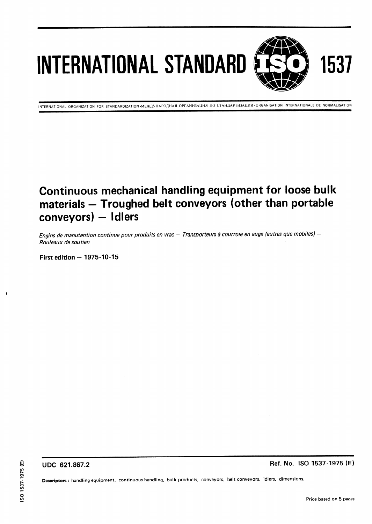# INTERNATIONAL STANDARD

INTERNATIONAL ORGANIZATION FOR STANDARDIZATION MEЖДУНАРОДНАЯ ОРГАНИЗАЦИЯ ПО СТАНДАРТИЗАЦИИ ORGANISATION INTERNATIONALE DE NORMALISATION

### Continuous mechanical handling equipment for loose bulk materials - Troughed belt conveyors (other than portable conveyors) - Idlers

Engins de manutention continue pour produits en vrac — Transporteurs à courroie en auge (autres que mobiles) —<br>Rouleaux de soutien Rouleaux de soutien (standards.iteh.ai)

First edition  $-1975-10-15$ 

ISO 1537:1975 https://standards.iteh.ai/catalog/standards/sist/4e152866-430c-40f9-bafbe7faa082de13/iso-1537-1975

UDC 621.867.2 Ref. No. ISO 1537-1975 (E)

Descriptors : handling equipment, continuous handling, bulk products, conveyors, belt conveyors, idlers, dimensions. GUDC 621.867.2<br>
Secriptors: handling equipment, continuous handling, bulk products, conveyors, belt conveyors, idlers, dimensions.<br>
Descriptors: handling equipment, continuous handling, bulk products, conveyors, belt conve

1537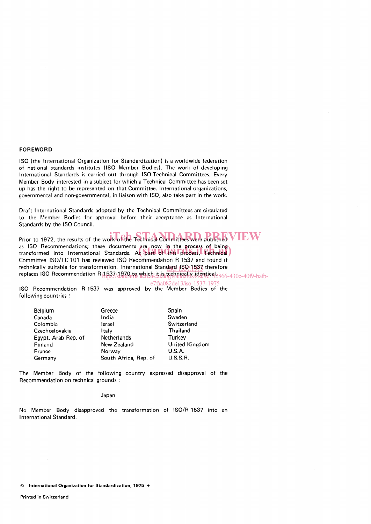### FOREWORD

ISO (the International Organization for Standardization) is a worldwide federation of national standards institutes (ISO Member Bodies). The work of developing International Standards is carried out through ISO Technical Committees. Every Member Body interested in a subject for which a Technical Committee has been set up has the right to be represented on that Committee. International organizations, governmental and non-governmental, in liaison with ISO, also take part in the work.

Draft International Standards adopted by the Technical Committees are circulated to the Member Bodies for approval before their acceptance as International Standards by the ISO Council.

Prior to 1972, the results of the work of the Technical Committees were published  $VEW$ as ISO Recommendations; these documents are now in the process of being as ISO Recommendations; these documents are now in the process of being<br>transformed into International Standards. As part of this process, Technical) Committee ISO/TC 101 has reviewed ISO Recommendation R 1537 and found it technically suitable for transformation. International Standard 1SO 1537 therefore replaces ISO Recommendation R11537-1970 to which it is technically identical 2866-430c-40f9-bafb-

ISO Recommendation R 1537 was approved by the Member Bodies of the e7faa082de13/iso-1537-1975following countries :

| Belgium             | Greece                | Spain          |
|---------------------|-----------------------|----------------|
| Canada              | India                 | Sweden         |
| Colombia            | Israel                | Switzerland    |
| Czechoslovakia      | Italv                 | Thailand       |
| Eqypt, Arab Rep. of | Netherlands           | Turkey         |
| Finland             | New Zealand           | United Kingdom |
| France              | Norway                | <b>U.S.A.</b>  |
| Germany             | South Africa, Rep. of | U.S.S.R.       |

The Member Body of the fol lowing country expressed disapproval of the Recommendation on technical grounds :

Japan

No Member Body disapproved the transformation of ISO/R 1537 into an International Standard.

© International Organization for Standardization, 1975 .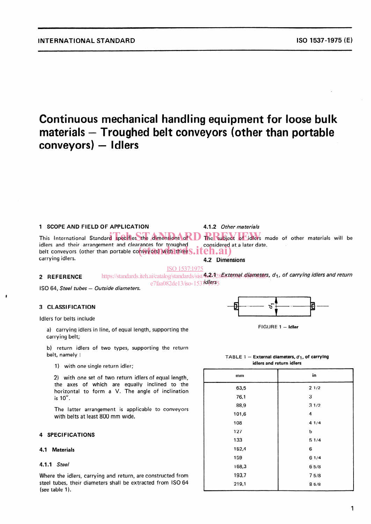Continuous mechanical handling equipment for loose bulk materials - Troughed belt conveyors (other than portable conveyors) - Idlers

### 1 SCOPE AND FIELD OF APPLICATION

4.1.2 Other materials

This International Standard specifies the dimensions of D RePsubject of Jdlers m idlers and their arrangement and clearances for troughed idiers and their arrangement and clearances for troughed<br>belt conveyors (other than portable conveyors) with three S.iteh.ai) carrying idlers. The subject of idlers made of other materials will be considered at a later date. 4.2 Dimensions

ISO 1537:1975

### 2 REFERENCE

https://standards.iteh.ai/catalog/standards/sist/4e2.328E8ternal\_diameters, d<sub>1</sub>, of carrying idlers and returr e7faa082de13/iso-1537dlers5

ISO 64, Steel tubes - Outside diameters.

### 3 CLASSIFICATION

Idlers for belts include

a) carrying idlers in line, of equal length, supporting the carrying belt;

b) return idlers of two types, supporting the return belt, namely :

1) with one single return idler;

2) with one set of two return idlers of equal length, the axes of which are equally inclined to the horizontal to form a V. The angle of inclination is  $10^\circ$ .

The latter arrangement is applicable to conveyors with belts at least 800 mm wide.

### 4 SPECIFICATIONS

### 4.1 Materials

#### 4.1.1 Steel

Where the idlers, carrying and return, are constructed from steel tubes, their diameters shall be extracted from ISO 64 (see table 1).

l\*-

FIGURE 1 - Idler

TABLE 1 - External diameters,  $d_1$ , of carrying idlers and return idlers

| mm    | in   |
|-------|------|
| 63,5  | 21/2 |
| 76,1  | 3    |
| 88,9  | 31/2 |
| 101,6 | 4    |
| 108   | 41/4 |
| 127   | 5    |
| 133   | 51/4 |
| 152,4 | 6    |
| 159   | 61/4 |
| 168,3 | 65/8 |
| 193,7 | 75/8 |
| 219,1 | 85/8 |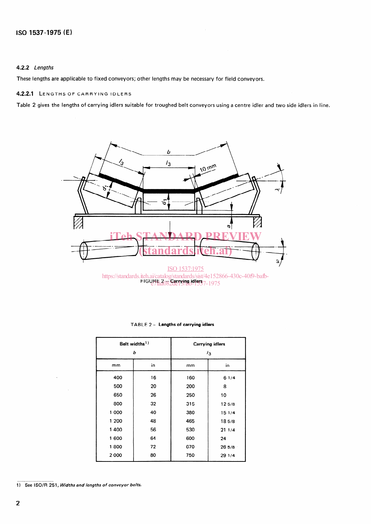### 4.2.2 Lengths

These lengths are applicable to fixed conveyors; other lengths may be necessary for field conveyors.

### 4.2.2.1 LENGTHS OF CARRYING IDLERS

Table 2 gives the lengths of carrying idlers suitable for troughed belt conveyors using a centre idler and two side idlers in line.



e7faa082de13/iso-1537-1975

| Belt widths <sup>1)</sup><br>ь |    | <b>Carrying idlers</b><br>$\frac{1}{3}$ |        |  |
|--------------------------------|----|-----------------------------------------|--------|--|
| mm                             | in | mm                                      | in     |  |
| 400                            | 16 | 160                                     | 61/4   |  |
| 500                            | 20 | 200                                     | 8      |  |
| 650                            | 26 | 250                                     | 10     |  |
| 800                            | 32 | 315                                     | 125/8  |  |
| 1 000                          | 40 | 380                                     | 15 1/4 |  |
| 1 200                          | 48 | 465                                     | 185/8  |  |
| 1400                           | 56 | 530                                     | 211/4  |  |
| 1600                           | 64 | 600                                     | 24     |  |
| 1800                           | 72 | 670                                     | 265/8  |  |
| 2000                           | 80 | 750                                     | 29 1/4 |  |

#### TABLE 2 - Lengths of carrying idlers

1) See ISO/R 251, Widths and lengths of conveyor belts.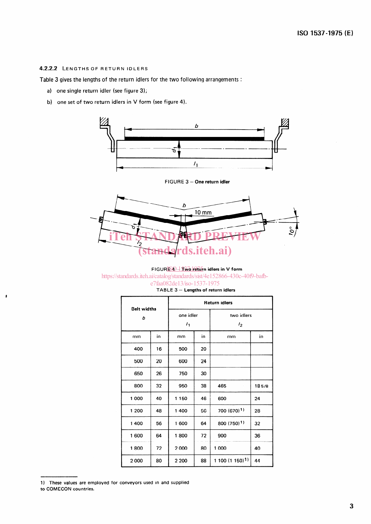### 4.2.2.2 LENGTHS OF RETURN IDLERS

Table 3 gives the lengths of the return idlers for the two following arrangements :

- a) one single return idler (see figure 3);
- b) one set of two return idlers in V form (see figure 4).



FIGURE 3 - One return idler



### FIGUR<mark>E40–1 Two retur</mark>n idlers in V forr

https://standards.iteh.ai/catalog/standards/sist/4e152866-430c-40f9-bafb-

| e7faa082de13/iso-1537-1975           |
|--------------------------------------|
| TABLE $3$ - Lengths of return idlers |
|                                      |

| <b>Belt widths</b><br>b |    | <b>Return idlers</b>        |    |                             |       |  |
|-------------------------|----|-----------------------------|----|-----------------------------|-------|--|
|                         |    | one idler<br>$\mathbf{I}_1$ |    | two idlers<br>$l_2$         |       |  |
| mm                      | in | mm                          | in | mm                          | in    |  |
| 400                     | 16 | 500                         | 20 |                             |       |  |
| 500                     | 20 | 600                         | 24 |                             |       |  |
| 650                     | 26 | 750                         | 30 |                             |       |  |
| 800                     | 32 | 950                         | 38 | 465                         | 185/8 |  |
| 1000                    | 40 | 1 1 5 0                     | 46 | 600                         | 24    |  |
| 1 200                   | 48 | 1400                        | 56 | $700(670)^{1}$              | 28    |  |
| 1400                    | 56 | 1 600                       | 64 | 800 (750) <sup>1)</sup>     |       |  |
| 1600                    | 64 | 1800                        | 72 | 900                         | 36    |  |
| 1800                    | 72 | 2000                        | 80 | 1 000                       | 40    |  |
| 2000                    | 80 | 2 200                       | 88 | 1 100 (1 150) <sup>1)</sup> | 44    |  |

<sup>1)</sup> These values are employed for conveyors used in and supplied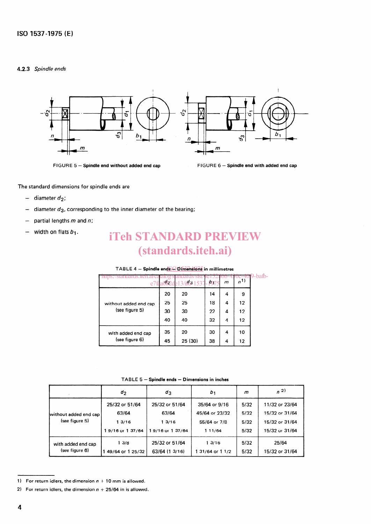### 4.2.3 Spindle ends



FIGURE 5 - Spindle end without added end cap FIGURE 6 - Spindle end with added end cap

The standard dimensions for spindle ends are

- $-$  diameter  $d_2$ ;
- diameter  $d_3$ , corresponding to the inner diameter of the bearing;
- partial lengths  $m$  and  $n$ ;
- width on flats  $b_1$ .

### iTeh STANDARD PREVIEW (standards.iteh.ai)

### TABLE 4 — Spindle end<mark>s⊖ Dtm̃ensions</mark> in millimetr

| e                                       | ולפאי | 3/1821537 | 107 | m | n <sup>1</sup> |  |
|-----------------------------------------|-------|-----------|-----|---|----------------|--|
| without added end cap<br>(see figure 5) | 20    | 20        | 14  | 4 | 9              |  |
|                                         | 25    | 25        | 18  | 4 | 12             |  |
|                                         | 30    | 30        | 22  | 4 | 12             |  |
|                                         | 40    | 40        | 32  | 4 | 12             |  |
| with added end cap<br>(see figure 6)    | 35    | 20        | 30  | 4 | 10             |  |
|                                         | 45    | 25 (30)   | 38  | 4 | 12             |  |

TABLE 5 - Spindle ends - Dimensions in inches

|                                         | $d_2$            | $a_3$           | b1               | m    | $n^{2}$        |  |  |  |
|-----------------------------------------|------------------|-----------------|------------------|------|----------------|--|--|--|
|                                         | 25/32 or 51/64   | 25/32 or 51/64  | 35/64 or 9/16    | 5/32 | 11/32 or 23/64 |  |  |  |
| without added end cap<br>(see figure 5) | 63/64            | 63/64           | 45/64 or 23/32   | 5/32 | 15/32 or 31/64 |  |  |  |
|                                         | 13/16            | 13/16           | 55/64 or 7/8     | 5/32 | 15/32 or 31/64 |  |  |  |
|                                         | 19/16 or 137/64  | 19/16 or 137/64 | 1 11/64          | 5/32 | 15/32 or 31/64 |  |  |  |
| with added end cap                      | 13/8             | 25/32 or 51/64  | 13/16            | 5/32 | 25/64          |  |  |  |
| (see figure 6)                          | 49/64 or 1 25/32 | 63/64 (1 3/16)  | 1 31/64 or 1 1/2 | 5/32 | 15/32 or 31/64 |  |  |  |

<sup>1)</sup> For return idlers, the dimension  $n + 10$  mm is allowed.

<sup>2)</sup> For return idlers, the dimension  $n + 25/64$  in is allowed.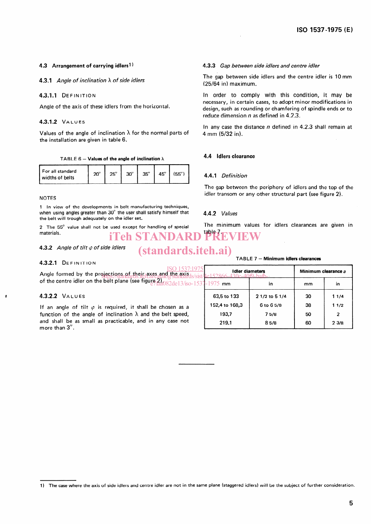### 4.3 Arrangement of carrying idlers<sup>1)</sup>

4.3.1 Angle of inclination  $\lambda$  of side idlers

### 4.3.1.1 DEFINITION

Angle of the axis of these idlers from the horizontal.

### **4.3.1.2 VALUES**

Values of the angle of inclination  $\lambda$  for the normal parts of the installation are given in table 6.

TABLE 6 - Values of the angle of inclination  $\lambda$ 

| For all standard<br>widths of belts | $20^{\circ}$ | $25^{\circ}$ | $30^\circ$ | $35^\circ$ | $45^{\circ}$ | (55° |
|-------------------------------------|--------------|--------------|------------|------------|--------------|------|
|-------------------------------------|--------------|--------------|------------|------------|--------------|------|

#### NOTES

1 In view of the developments in belt manufacturing techniques, when using angles greater than 30° the user shall satisfy himself that the belt will trough adequately on the idler set.

2 The 55' value shall not be used except for handling of special materials. iTeh STANDARD

### 4.3.2 Angle of tilt  $\varphi$  of side idlers

### (standards.iteh.ai)

### 4.3.2.1 DEFINITION

4.3.3 Gap between side idlers and centre idler

The gap between side idlers and the centre idler is 10 mm (25/64 in) maximum.

In Order to comply with this condition, it may be necessary, in certain cases, to adopt minor modifications in design, such as rounding or chamfering of spindie ends or to reduce dimension  $n$  as defined in 4.2.3.

In any case the distance  $n$  defined in 4.2.3 shall remain at 4 mm (5/32 in).

### 4.4 Idlers clearance

### 4.4.1 Definition

The gap between the periphery of idlers and the top of the idler transom or any other structural part (see figure 2).

### 4.4.2 Values

The minimum values for idlers clearances are given in table 7

### TABLE 7 - Minimum idlers clearances

| Angle formed by the projections of their axes and the axis,                        | <b>Idler diameters</b> | Minimum clearance a |    |                |
|------------------------------------------------------------------------------------|------------------------|---------------------|----|----------------|
| of the centre idler on the belt plane (see figure 2) compared 13/iso-1537-1975 mm  |                        | in                  | mm | in             |
| 4.3.2.2 VALUES                                                                     | 63,5 to 133            | 2 1/2 to 5 1/4      | 30 | 11/4           |
| If an angle of tilt $\varphi$ is required, it shall be chosen as a                 | 152,4 to 168,3         | 6 to 6 5/8          | 38 | 11/2           |
| function of the angle of inclination $\lambda$ and the belt speed,                 | 193,7                  | 75/8                | 50 | $\overline{2}$ |
| and shall be as small as practicable, and in any case not<br>more than $3^\circ$ . | 219.1                  | 85/8                | 60 | 23/8           |

<sup>1)</sup> The case where the axis of side idlers and centre idler are not in the same plane (staggered idlers) will be the subject of further consideration.